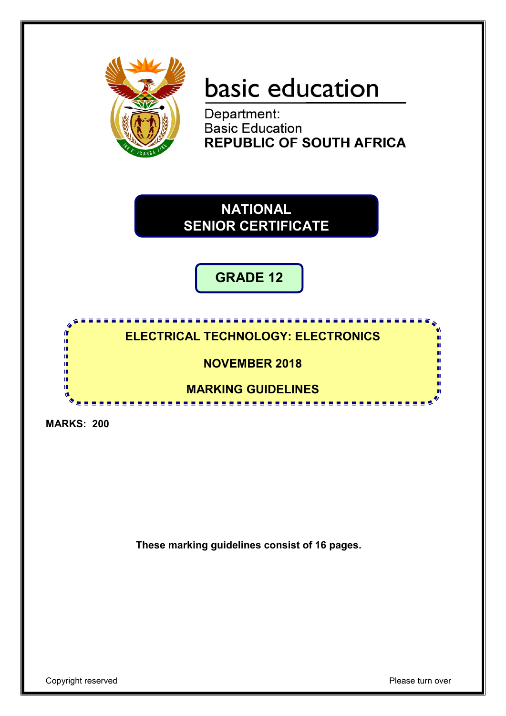

# basic education

Department: **Basic Education<br>REPUBLIC OF SOUTH AFRICA** 

**NATIONAL SENIOR CERTIFICATE**

**GRADE 12**

## **ELECTRICAL TECHNOLOGY: ELECTRONICS**

## **NOVEMBER 2018**

## **MARKING GUIDELINES**

and a state

-------

**MARKS: 200**

m II. ı. ı. ıń m if. 'n

**These marking guidelines consist of 16 pages.**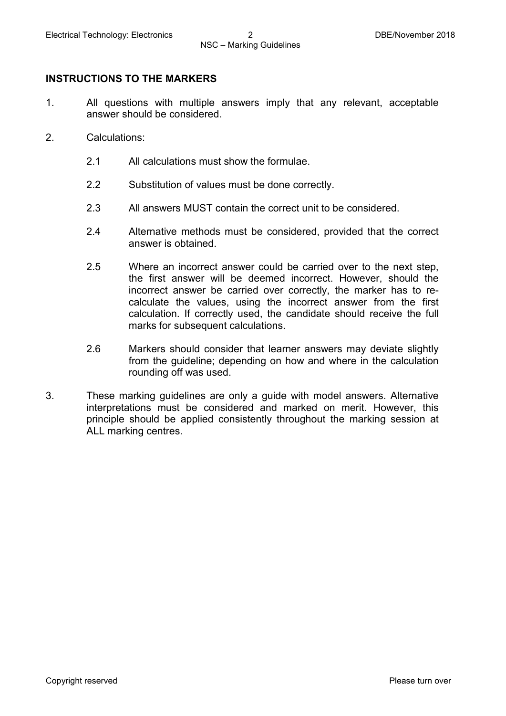#### **INSTRUCTIONS TO THE MARKERS**

- 1. All questions with multiple answers imply that any relevant, acceptable answer should be considered.
- 2. Calculations:
	- 2.1 All calculations must show the formulae.
	- 2.2 Substitution of values must be done correctly.
	- 2.3 All answers MUST contain the correct unit to be considered.
	- 2.4 Alternative methods must be considered, provided that the correct answer is obtained.
	- 2.5 Where an incorrect answer could be carried over to the next step, the first answer will be deemed incorrect. However, should the incorrect answer be carried over correctly, the marker has to recalculate the values, using the incorrect answer from the first calculation. If correctly used, the candidate should receive the full marks for subsequent calculations.
	- 2.6 Markers should consider that learner answers may deviate slightly from the guideline; depending on how and where in the calculation rounding off was used.
- 3. These marking guidelines are only a guide with model answers. Alternative interpretations must be considered and marked on merit. However, this principle should be applied consistently throughout the marking session at ALL marking centres.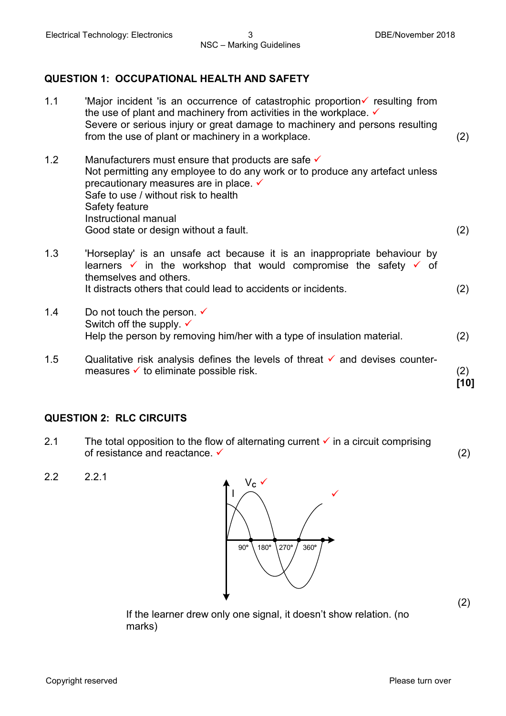#### **QUESTION 1: OCCUPATIONAL HEALTH AND SAFETY**

- 1.1 'Major incident 'is an occurrence of catastrophic proportion $\checkmark$  resulting from the use of plant and machinery from activities in the workplace.  $\checkmark$ Severe or serious injury or great damage to machinery and persons resulting from the use of plant or machinery in a workplace. (2) 1.2 Manufacturers must ensure that products are safe  $\checkmark$ Not permitting any employee to do any work or to produce any artefact unless precautionary measures are in place.  $\checkmark$ Safe to use / without risk to health Safety feature Instructional manual Good state or design without a fault. (2) 1.3 'Horseplay' is an unsafe act because it is an inappropriate behaviour by learners  $\checkmark$  in the workshop that would compromise the safety  $\checkmark$  of themselves and others. It distracts others that could lead to accidents or incidents. (2) 1.4 Do not touch the person.  $\checkmark$ Switch off the supply.  $\checkmark$ Help the person by removing him/her with a type of insulation material. (2)
- 1.5 Qualitative risk analysis defines the levels of threat  $\checkmark$  and devises countermeasures  $\checkmark$  to eliminate possible risk. (2) **[10]**

#### **QUESTION 2: RLC CIRCUITS**

- 2.1 The total opposition to the flow of alternating current  $\checkmark$  in a circuit comprising of resistance and reactance.  $\checkmark$  (2)
- 



(2)

If the learner drew only one signal, it doesn't show relation. (no marks)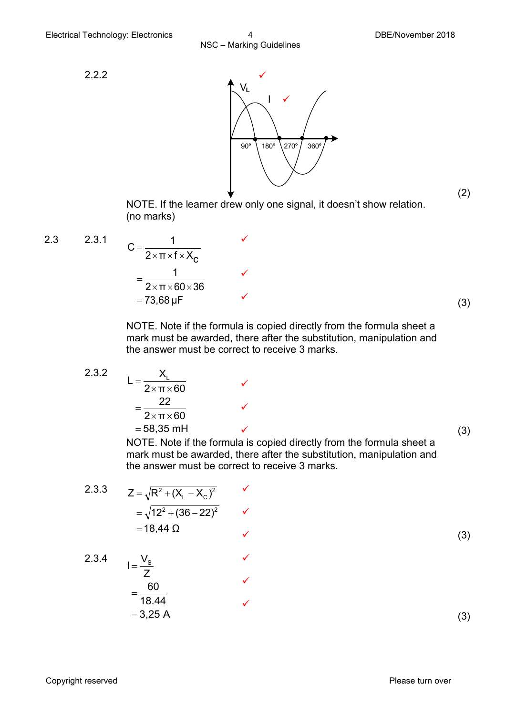2.2.2



(2)

NOTE. If the learner drew only one signal, it doesn't show relation. (no marks)

2.3 2.3.1 
$$
C = \frac{1}{2 \times \pi \times f \times X_C}
$$
  
=  $\frac{1}{2 \times \pi \times 60 \times 36}$   
= 73,68 µF (3)

ü

ü

ü

NOTE. Note if the formula is copied directly from the formula sheet a mark must be awarded, there after the substitution, manipulation and the answer must be correct to receive 3 marks.

2.3.2 
$$
L = \frac{X_L}{2 \times \pi \times 60} \qquad \checkmark
$$

$$
= \frac{22}{2 \times \pi \times 60} \qquad \checkmark
$$

$$
= 58,35 \text{ mH} \qquad \checkmark
$$

 $\checkmark$  (3)

NOTE. Note if the formula is copied directly from the formula sheet a mark must be awarded, there after the substitution, manipulation and the answer must be correct to receive 3 marks.

2.3.3 
$$
Z = \sqrt{R^2 + (X_L - X_C)^2}
$$
  
=  $\sqrt{12^2 + (36 - 22)^2}$    
= 18,44  $\Omega$  (3)

 $I = \frac{V_s}{I}$   $\checkmark$ 

 $= 3,25 A$ 18.44 60 Z

=

$$
2.3.4
$$

$$
f_{\rm{max}}
$$

(3)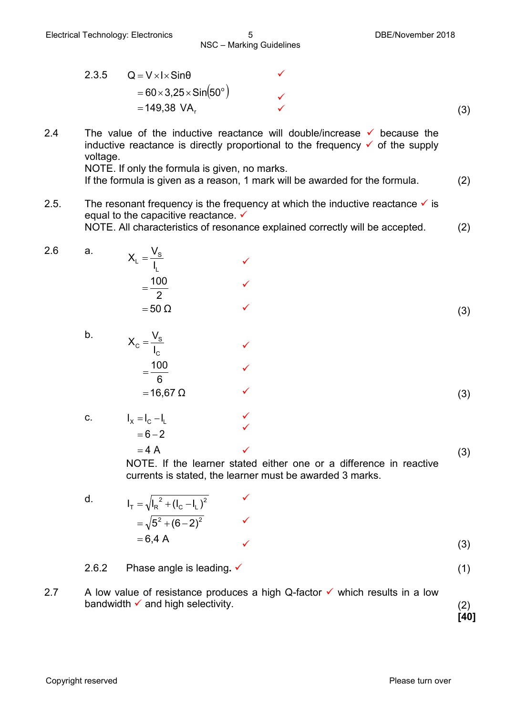2.3.5 
$$
Q = V \times I \times \text{Sin}\theta
$$
  
=  $60 \times 3,25 \times \text{Sin}(50^{\circ})$   
= 149,38 VA<sub>r</sub> (3)

- 2.4 The value of the inductive reactance will double/increase  $\checkmark$  because the inductive reactance is directly proportional to the frequency  $\checkmark$  of the supply voltage. NOTE. If only the formula is given, no marks.
	- If the formula is given as a reason, 1 mark will be awarded for the formula. (2)
- 2.5. The resonant frequency is the frequency at which the inductive reactance  $\checkmark$  is equal to the capacitive reactance.  $\checkmark$ NOTE. All characteristics of resonance explained correctly will be accepted. (2)
- 2.6 a.  $=$  50  $\Omega$ 2  $=$  $\frac{100}{2}$ I  $X_L = \frac{V}{I}$ L  $L = \frac{v_S}{l}$   $\checkmark$ ü  $\checkmark$  (3) b.  $=$  16,67 Ω 6  $=\frac{100}{2}$ I  $X_c = \frac{V}{I}$ C  $C = \frac{v_S}{l}$   $\checkmark$ ü  $\checkmark$  (3) c.  $I_x = I_c - I_l$ ü
	- $=4 A$  $\checkmark$  (3) NOTE. If the learner stated either one or a difference in reactive currents is stated, the learner must be awarded 3 marks.
	- d.  $= 6,4$  A  $=\sqrt{5^2+(6-2)^2}$  $I_T = \sqrt{I_R^2 + (I_C - I_L)^2}$ C L 2  $T = \sqrt{I_R^2 + (I_C - I_L)^2}$ ü  $\checkmark$  (3)

2.6.2 Phase angle is leading**.** <del>✓</del> **i** (1)

 $= 6 - 2$ 

2.7 A low value of resistance produces a high Q-factor  $\checkmark$  which results in a low bandwidth  $\checkmark$  and high selectivity. (2)

**[40]**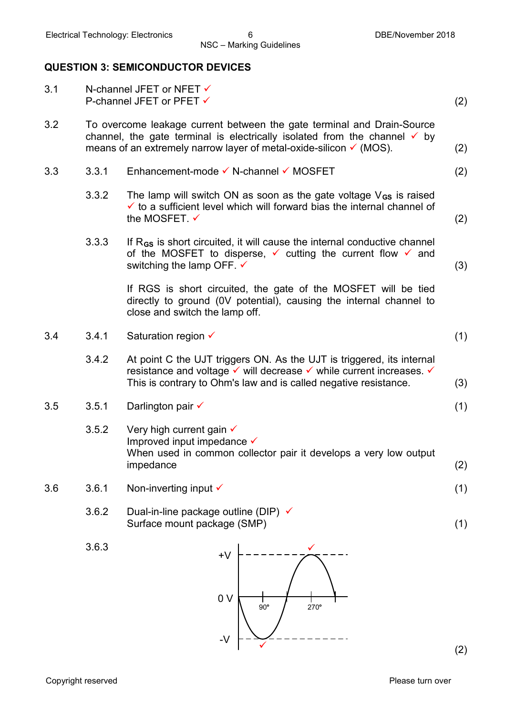#### **QUESTION 3: SEMICONDUCTOR DEVICES**

| 3.1 |       | N-channel JFET or NFET √<br>P-channel JFET or PFET √                                                                                                                                                                                            | (2) |
|-----|-------|-------------------------------------------------------------------------------------------------------------------------------------------------------------------------------------------------------------------------------------------------|-----|
| 3.2 |       | To overcome leakage current between the gate terminal and Drain-Source<br>channel, the gate terminal is electrically isolated from the channel $\checkmark$ by<br>means of an extremely narrow layer of metal-oxide-silicon $\checkmark$ (MOS). | (2) |
| 3.3 | 3.3.1 | Enhancement-mode V N-channel V MOSFET                                                                                                                                                                                                           | (2) |
|     | 3.3.2 | The lamp will switch ON as soon as the gate voltage $V_{GS}$ is raised<br>$\checkmark$ to a sufficient level which will forward bias the internal channel of<br>the MOSFET. ✓                                                                   | (2) |
|     | 3.3.3 | If R <sub>GS</sub> is short circuited, it will cause the internal conductive channel<br>of the MOSFET to disperse, $\checkmark$ cutting the current flow $\checkmark$ and<br>switching the lamp OFF. $\checkmark$                               | (3) |
|     |       | If RGS is short circuited, the gate of the MOSFET will be tied<br>directly to ground (OV potential), causing the internal channel to<br>close and switch the lamp off.                                                                          |     |
| 3.4 | 3.4.1 | Saturation region $\checkmark$                                                                                                                                                                                                                  | (1) |
|     | 3.4.2 | At point C the UJT triggers ON. As the UJT is triggered, its internal<br>resistance and voltage v will decrease v while current increases. v<br>This is contrary to Ohm's law and is called negative resistance.                                | (3) |
| 3.5 | 3.5.1 | Darlington pair √                                                                                                                                                                                                                               | (1) |
|     | 3.5.2 | Very high current gain $\checkmark$<br>Improved input impedance <del>V</del><br>When used in common collector pair it develops a very low output<br>impedance                                                                                   | (2) |
| 3.6 | 3.6.1 | Non-inverting input $\checkmark$                                                                                                                                                                                                                | (1) |
|     | 3.6.2 | Dual-in-line package outline (DIP) √<br>Surface mount package (SMP)                                                                                                                                                                             | (1) |
|     | 3.6.3 | $+V$<br>0 <sub>V</sub><br>90°<br>270°                                                                                                                                                                                                           |     |
|     |       | $-V$                                                                                                                                                                                                                                            | (2) |

(2)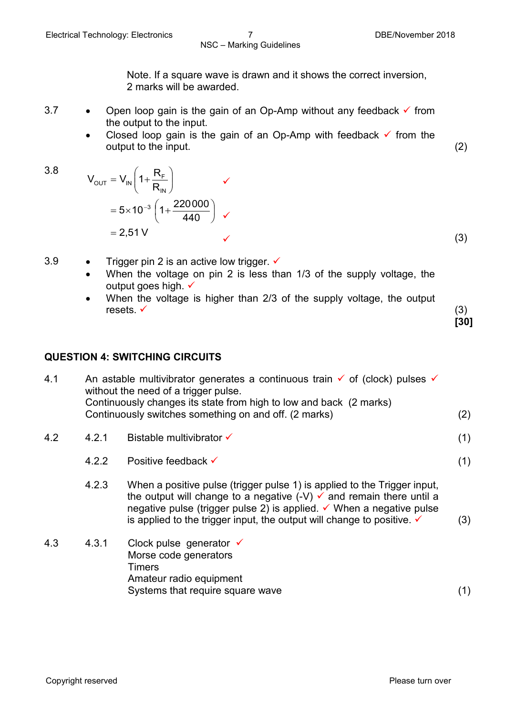Note. If a square wave is drawn and it shows the correct inversion, 2 marks will be awarded.

- 3.7 Open loop gain is the gain of an Op-Amp without any feedback  $\checkmark$  from the output to the input.
	- Closed loop gain is the gain of an Op-Amp with feedback  $\checkmark$  from the output to the input. (2)
- 3.8

$$
V_{\text{OUT}} = V_{\text{IN}} \left( 1 + \frac{R_{\text{F}}}{R_{\text{IN}}} \right) \checkmark
$$
  
= 5 \times 10^{-3} \left( 1 + \frac{220000}{440} \right) \checkmark  
= 2,51 V \checkmark (3)

3.9 • Trigger pin 2 is an active low trigger.  $\checkmark$ 

- When the voltage on pin 2 is less than 1/3 of the supply voltage, the output goes high  $\checkmark$
- When the voltage is higher than 2/3 of the supply voltage, the output resets.  $\checkmark$  (3)

**[30]**

#### **QUESTION 4: SWITCHING CIRCUITS**

| 4.1 | An astable multivibrator generates a continuous train $\checkmark$ of (clock) pulses $\checkmark$<br>without the need of a trigger pulse.<br>Continuously changes its state from high to low and back (2 marks) |                                                                                                                                                                                                                                                                                                                                       |     |  |
|-----|-----------------------------------------------------------------------------------------------------------------------------------------------------------------------------------------------------------------|---------------------------------------------------------------------------------------------------------------------------------------------------------------------------------------------------------------------------------------------------------------------------------------------------------------------------------------|-----|--|
|     |                                                                                                                                                                                                                 | Continuously switches something on and off. (2 marks)                                                                                                                                                                                                                                                                                 | (2) |  |
| 4.2 | 4.2.1                                                                                                                                                                                                           | Bistable multivibrator $\checkmark$                                                                                                                                                                                                                                                                                                   | (1) |  |
|     | 4.2.2                                                                                                                                                                                                           | Positive feedback $\checkmark$                                                                                                                                                                                                                                                                                                        | (1) |  |
|     | 4.2.3                                                                                                                                                                                                           | When a positive pulse (trigger pulse 1) is applied to the Trigger input,<br>the output will change to a negative $(-V)$ $\checkmark$ and remain there until a<br>negative pulse (trigger pulse 2) is applied. $\checkmark$ When a negative pulse<br>is applied to the trigger input, the output will change to positive. $\checkmark$ | (3) |  |
| 4.3 | 4.3.1                                                                                                                                                                                                           | Clock pulse generator $\checkmark$<br>Morse code generators<br><b>Timers</b><br>Amateur radio equipment                                                                                                                                                                                                                               |     |  |
|     |                                                                                                                                                                                                                 | Systems that require square wave                                                                                                                                                                                                                                                                                                      | (1) |  |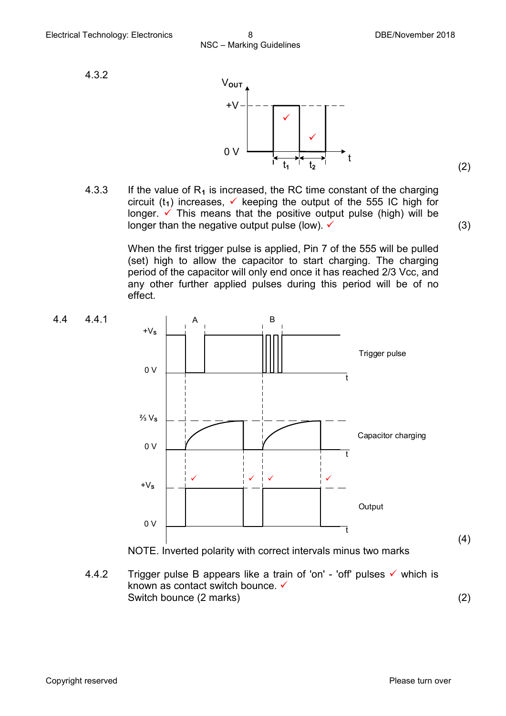(2)

4.3.2



4.3.3 If the value of  $R_1$  is increased, the RC time constant of the charging circuit ( $t_1$ ) increases,  $\checkmark$  keeping the output of the 555 IC high for longer.  $\checkmark$  This means that the positive output pulse (high) will be longer than the negative output pulse (low).  $\checkmark$  (3)

> When the first trigger pulse is applied, Pin 7 of the 555 will be pulled (set) high to allow the capacitor to start charging. The charging period of the capacitor will only end once it has reached 2/3 Vcc, and any other further applied pulses during this period will be of no effect.



4.4.2 Trigger pulse B appears like a train of 'on' - 'off' pulses  $\checkmark$  which is known as contact switch bounce.  $\checkmark$ Switch bounce (2 marks) (2)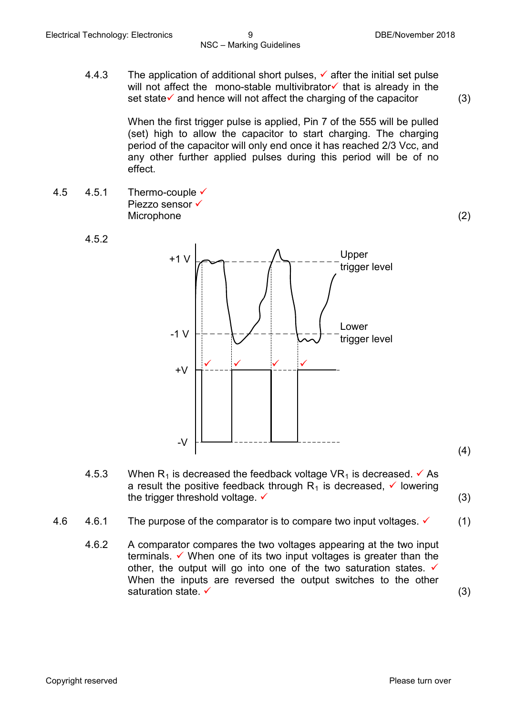4.4.3 The application of additional short pulses,  $\checkmark$  after the initial set pulse will not affect the mono-stable multivibrator $\checkmark$  that is already in the set state $\checkmark$  and hence will not affect the charging of the capacitor (3)

When the first trigger pulse is applied, Pin 7 of the 555 will be pulled (set) high to allow the capacitor to start charging. The charging period of the capacitor will only end once it has reached 2/3 Vcc, and any other further applied pulses during this period will be of no effect.

4.5  $4.5.1$  Thermo-couple  $\checkmark$ Piezzo sensor  $\checkmark$ Microphone (2)

4.5.2



- (4)
- 4.5.3 When R<sub>1</sub> is decreased the feedback voltage VR<sub>1</sub> is decreased.  $\checkmark$  As a result the positive feedback through  $R_1$  is decreased,  $\checkmark$  lowering the trigger threshold voltage.  $\checkmark$  (3)

- 4.6 4.6.1 The purpose of the comparator is to compare two input voltages.  $\checkmark$  (1)
	- 4.6.2 A comparator compares the two voltages appearing at the two input terminals.  $\checkmark$  When one of its two input voltages is greater than the other, the output will go into one of the two saturation states.  $\checkmark$ When the inputs are reversed the output switches to the other saturation state.  $\checkmark$  (3)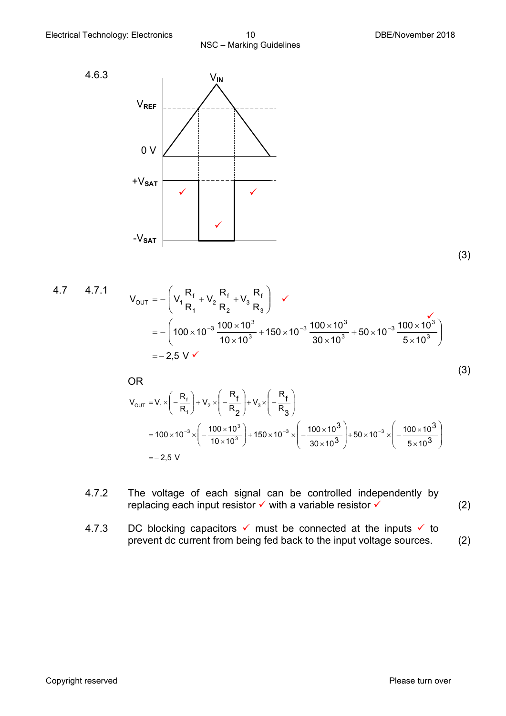



(3)

4.7 4.7.1  
\n
$$
V_{OUT} = -\left(V_1 \frac{R_f}{R_1} + V_2 \frac{R_f}{R_2} + V_3 \frac{R_f}{R_3}\right) \checkmark
$$
\n
$$
= -\left(100 \times 10^{-3} \frac{100 \times 10^3}{10 \times 10^3} + 150 \times 10^{-3} \frac{100 \times 10^3}{30 \times 10^3} + 50 \times 10^{-3} \frac{100 \times 10^3}{5 \times 10^3}\right)
$$
\n
$$
= -2.5 \text{ V} \checkmark
$$

OR  
\n
$$
V_{OUT} = V_1 \times \left(-\frac{R_f}{R_1}\right) + V_2 \times \left(-\frac{R_f}{R_2}\right) + V_3 \times \left(-\frac{R_f}{R_3}\right)
$$
\n
$$
= 100 \times 10^{-3} \times \left(-\frac{100 \times 10^3}{10 \times 10^3}\right) + 150 \times 10^{-3} \times \left(-\frac{100 \times 10^3}{30 \times 10^3}\right) + 50 \times 10^{-3} \times \left(-\frac{100 \times 10^3}{5 \times 10^3}\right)
$$
\n
$$
= -2.5 \text{ V}
$$

- 4.7.2 The voltage of each signal can be controlled independently by replacing each input resistor  $\checkmark$  with a variable resistor  $\checkmark$  (2)
- 4.7.3 DC blocking capacitors  $\checkmark$  must be connected at the inputs  $\checkmark$  to prevent dc current from being fed back to the input voltage sources. (2)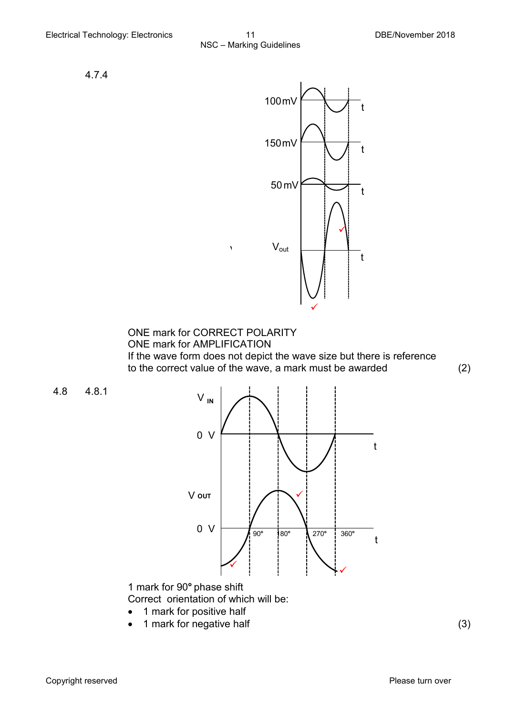4.7.4



ONE mark for CORRECT POLARITY ONE mark for AMPLIFICATION If the wave form does not depict the wave size but there is reference to the correct value of the wave, a mark must be awarded (2)

4.8 4.8.1



1 mark for 90**°** phase shift Correct orientation of which will be:

- 1 mark for positive half
- 1 mark for negative half (3)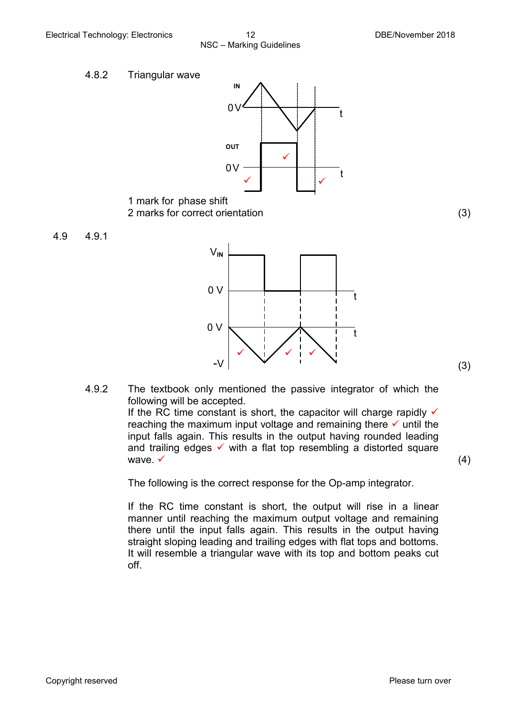



- 1 mark for phase shift 2 marks for correct orientation (3)
- 4.9 4.9.1



4.9.2 The textbook only mentioned the passive integrator of which the following will be accepted. If the RC time constant is short, the capacitor will charge rapidly  $\checkmark$ reaching the maximum input voltage and remaining there  $\checkmark$  until the

input falls again. This results in the output having rounded leading and trailing edges  $\checkmark$  with a flat top resembling a distorted square wave.  $\checkmark$  (4)

The following is the correct response for the Op-amp integrator.

If the RC time constant is short, the output will rise in a linear manner until reaching the maximum output voltage and remaining there until the input falls again. This results in the output having straight sloping leading and trailing edges with flat tops and bottoms. It will resemble a triangular wave with its top and bottom peaks cut off.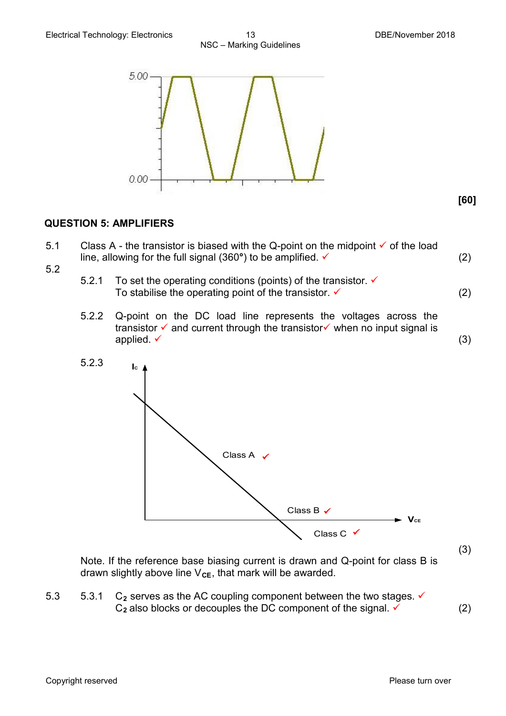**[60]**



#### **QUESTION 5: AMPLIFIERS**

- 5.1 Class A the transistor is biased with the Q-point on the midpoint  $\checkmark$  of the load line, allowing for the full signal  $(360^\circ)$  to be amplified.  $\checkmark$  (2)
- 5.2
- 5.2.1 To set the operating conditions (points) of the transistor.  $\checkmark$ To stabilise the operating point of the transistor.  $\checkmark$  (2)
- 5.2.2 Q-point on the DC load line represents the voltages across the transistor  $\checkmark$  and current through the transistor $\checkmark$  when no input signal is applied.  $\checkmark$  (3)



Note. If the reference base biasing current is drawn and Q-point for class B is drawn slightly above line  $V_{CE}$ , that mark will be awarded.

5.3  $5.3.1$  C<sub>2</sub> serves as the AC coupling component between the two stages.  $\checkmark$  $C_2$  also blocks or decouples the DC component of the signal.  $\checkmark$  (2)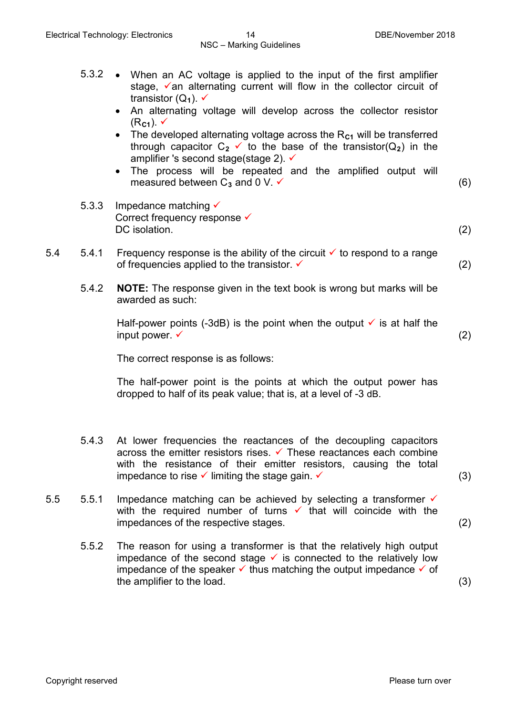- 5.3.2 When an AC voltage is applied to the input of the first amplifier stage,  $\checkmark$  an alternating current will flow in the collector circuit of transistor  $(Q_1)$ .  $\checkmark$ 
	- An alternating voltage will develop across the collector resistor  $(R_{c1})$ .  $\checkmark$
	- The developed alternating voltage across the R<sub>C1</sub> will be transferred through capacitor  $C_2 \vee C_1$  to the base of the transistor( $Q_2$ ) in the amplifier 's second stage(stage 2).  $\checkmark$
	- The process will be repeated and the amplified output will measured between  $C_3$  and 0 V.  $\checkmark$  (6)
- 5.3.3 Impedance matching  $\checkmark$ Correct frequency response  $\checkmark$ DC isolation. (2) (2)
- 5.4  $\,$  5.4.1 Frequency response is the ability of the circuit  $\checkmark$  to respond to a range of frequencies applied to the transistor.  $\checkmark$  (2)
	- 5.4.2 **NOTE:** The response given in the text book is wrong but marks will be awarded as such:

Half-power points (-3dB) is the point when the output  $\checkmark$  is at half the input power.  $\checkmark$  (2)

The correct response is as follows:

The half-power point is the points at which the output power has dropped to half of its peak value; that is, at a level of -3 dB.

- 5.4.3 At lower frequencies the reactances of the decoupling capacitors across the emitter resistors rises.  $\checkmark$  These reactances each combine with the resistance of their emitter resistors, causing the total impedance to rise  $\checkmark$  limiting the stage gain.  $\checkmark$  (3)
- 5.5 5.5.1 Impedance matching can be achieved by selecting a transformer  $\checkmark$ with the required number of turns  $\checkmark$  that will coincide with the impedances of the respective stages. (2)
	- 5.5.2 The reason for using a transformer is that the relatively high output impedance of the second stage  $\checkmark$  is connected to the relatively low impedance of the speaker  $\checkmark$  thus matching the output impedance  $\checkmark$  of the amplifier to the load. (3)

Copyright reserved **Please turn over the Copyright reserved** Please turn over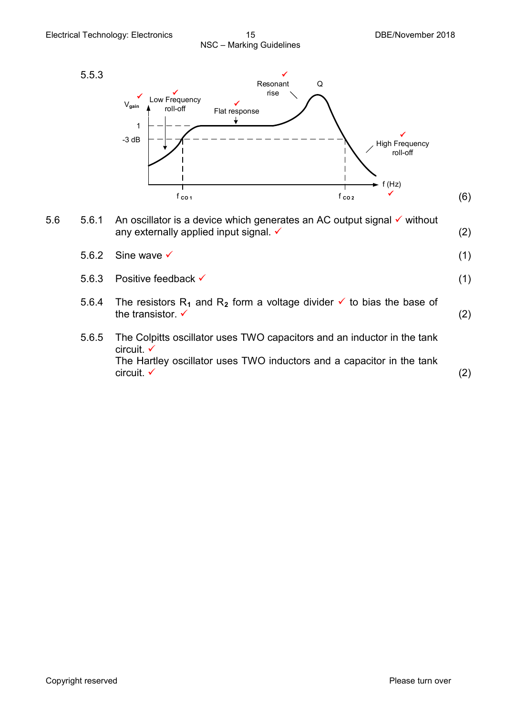

- 5.6  $5.6.1$  An oscillator is a device which generates an AC output signal  $\checkmark$  without any externally applied input signal.  $\checkmark$  (2)
	- $5.6.2$  Sine wave  $\checkmark$  (1) 5.6.3 Positive feedback  $\checkmark$  (1)
	- 5.6.4 The resistors  $R_1$  and  $R_2$  form a voltage divider  $\checkmark$  to bias the base of the transistor.  $\checkmark$  (2)
	- 5.6.5 The Colpitts oscillator uses TWO capacitors and an inductor in the tank circuit.  $\checkmark$ The Hartley oscillator uses TWO inductors and a capacitor in the tank  $\blacksquare$ circuit.  $\checkmark$  (2)